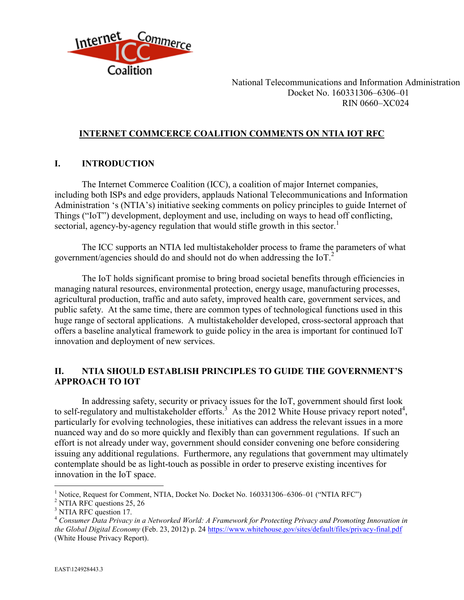

## **INTERNET COMMCERCE COALITION COMMENTS ON NTIA IOT RFC**

### **I. INTRODUCTION**

The Internet Commerce Coalition (ICC), a coalition of major Internet companies, including both ISPs and edge providers, applauds National Telecommunications and Information Administration 's (NTIA's) initiative seeking comments on policy principles to guide Internet of Things ("IoT") development, deployment and use, including on ways to head off conflicting, sectorial, agency-by-agency regulation that would stifle growth in this sector.<sup>1</sup>

The ICC supports an NTIA led multistakeholder process to frame the parameters of what government/agencies should do and should not do when addressing the  $I_0T<sup>2</sup>$ 

The IoT holds significant promise to bring broad societal benefits through efficiencies in managing natural resources, environmental protection, energy usage, manufacturing processes, agricultural production, traffic and auto safety, improved health care, government services, and public safety. At the same time, there are common types of technological functions used in this huge range of sectoral applications. A multistakeholder developed, cross-sectoral approach that offers a baseline analytical framework to guide policy in the area is important for continued IoT innovation and deployment of new services.

# **II. NTIA SHOULD ESTABLISH PRINCIPLES TO GUIDE THE GOVERNMENT'S APPROACH TO IOT**

In addressing safety, security or privacy issues for the IoT, government should first look to self-regulatory and multistakeholder efforts.<sup>3</sup> As the 2012 White House privacy report noted<sup>4</sup>, particularly for evolving technologies, these initiatives can address the relevant issues in a more nuanced way and do so more quickly and flexibly than can government regulations. If such an effort is not already under way, government should consider convening one before considering issuing any additional regulations. Furthermore, any regulations that government may ultimately contemplate should be as light-touch as possible in order to preserve existing incentives for innovation in the IoT space.

<sup>1</sup> Notice, Request for Comment, NTIA, Docket No. Docket No. 160331306–6306–01 ("NTIA RFC")

<sup>&</sup>lt;sup>2</sup> NTIA RFC questions 25, 26

<sup>&</sup>lt;sup>3</sup> NTIA RFC question 17.

<sup>4</sup> *Consumer Data Privacy in a Networked World: A Framework for Protecting Privacy and Promoting Innovation in the Global Digital Economy* (Feb. 23, 2012) p. 24<https://www.whitehouse.gov/sites/default/files/privacy-final.pdf> (White House Privacy Report).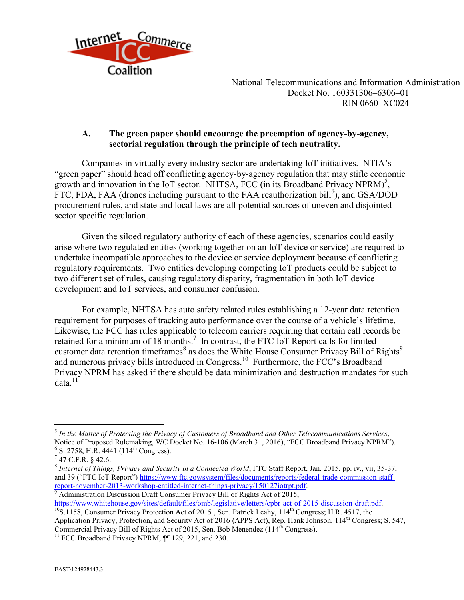

## **A. The green paper should encourage the preemption of agency-by-agency, sectorial regulation through the principle of tech neutrality.**

Companies in virtually every industry sector are undertaking IoT initiatives. NTIA's "green paper" should head off conflicting agency-by-agency regulation that may stifle economic growth and innovation in the IoT sector. NHTSA, FCC (in its Broadband Privacy NPRM)<sup>5</sup>, FTC, FDA, FAA (drones including pursuant to the FAA reauthorization bill<sup>6</sup>), and GSA/DOD procurement rules, and state and local laws are all potential sources of uneven and disjointed sector specific regulation.

Given the siloed regulatory authority of each of these agencies, scenarios could easily arise where two regulated entities (working together on an IoT device or service) are required to undertake incompatible approaches to the device or service deployment because of conflicting regulatory requirements. Two entities developing competing IoT products could be subject to two different set of rules, causing regulatory disparity, fragmentation in both IoT device development and IoT services, and consumer confusion.

For example, NHTSA has auto safety related rules establishing a 12-year data retention requirement for purposes of tracking auto performance over the course of a vehicle's lifetime. Likewise, the FCC has rules applicable to telecom carriers requiring that certain call records be retained for a minimum of 18 months.<sup>7</sup> In contrast, the FTC IoT Report calls for limited customer data retention timeframes  $8$  as does the White House Consumer Privacy Bill of Rights<sup>9</sup> and numerous privacy bills introduced in Congress.<sup>10</sup> Furthermore, the FCC's Broadband Privacy NPRM has asked if there should be data minimization and destruction mandates for such data. $11^{\circ}$ 

 $\overline{a}$ 

 $9$  Administration Discussion Draft Consumer Privacy Bill of Rights Act of 2015, [https://www.whitehouse.gov/sites/default/files/omb/legislative/letters/cpbr-act-of-2015-discussion-draft.pdf.](https://www.whitehouse.gov/sites/default/files/omb/legislative/letters/cpbr-act-of-2015-discussion-draft.pdf)

<sup>5</sup> *In the Matter of Protecting the Privacy of Customers of Broadband and Other Telecommunications Services*, Notice of Proposed Rulemaking, WC Docket No. 16-106 (March 31, 2016), "FCC Broadband Privacy NPRM").  $6$  S. 2758, H.R. 4441 (114<sup>th</sup> Congress).

 $7$  47 C.F.R. § 42.6.

<sup>8</sup> *Internet of Things, Privacy and Security in a Connected World*, FTC Staff Report, Jan. 2015, pp. iv., vii, 35-37, and 39 ("FTC IoT Report") [https://www.ftc.gov/system/files/documents/reports/federal-trade-commission-staff](https://www.ftc.gov/system/files/documents/reports/federal-trade-commission-staff-report-november-2013-workshop-entitled-internet-things-privacy/150127iotrpt.pdf)[report-november-2013-workshop-entitled-internet-things-privacy/150127iotrpt.pdf.](https://www.ftc.gov/system/files/documents/reports/federal-trade-commission-staff-report-november-2013-workshop-entitled-internet-things-privacy/150127iotrpt.pdf)

 $^{10}$ S.1158, Consumer Privacy Protection Act of 2015, Sen. Patrick Leahy, 114<sup>th</sup> Congress; H.R. 4517, the Application Privacy, Protection, and Security Act of 2016 (APPS Act), Rep. Hank Johnson, 114<sup>th</sup> Congress; S. 547, Commercial Privacy Bill of Rights Act of 2015, Sen. Bob Menendez (114<sup>th</sup> Congress).

<sup>&</sup>lt;sup>11</sup> FCC Broadband Privacy NPRM, <sup>[1]</sup> 129, 221, and 230.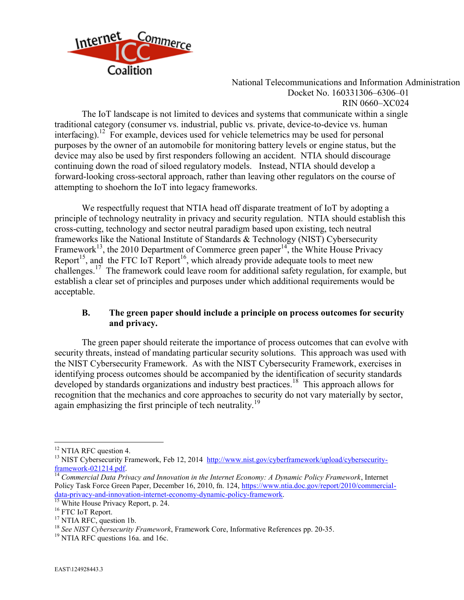

RIN 0660–XC024

The IoT landscape is not limited to devices and systems that communicate within a single traditional category (consumer vs. industrial, public vs. private, device-to-device vs. human interfacing).<sup>12</sup> For example, devices used for vehicle telemetrics may be used for personal purposes by the owner of an automobile for monitoring battery levels or engine status, but the device may also be used by first responders following an accident. NTIA should discourage continuing down the road of siloed regulatory models. Instead, NTIA should develop a forward-looking cross-sectoral approach, rather than leaving other regulators on the course of attempting to shoehorn the IoT into legacy frameworks.

We respectfully request that NTIA head off disparate treatment of IoT by adopting a principle of technology neutrality in privacy and security regulation. NTIA should establish this cross-cutting, technology and sector neutral paradigm based upon existing, tech neutral frameworks like the National Institute of Standards & Technology (NIST) Cybersecurity Framework<sup>13</sup>, the 2010 Department of Commerce green paper<sup>14</sup>, the White House Privacy Report<sup>15</sup>, and the FTC IoT Report<sup>16</sup>, which already provide adequate tools to meet new challenges.<sup>17</sup> The framework could leave room for additional safety regulation, for example, but establish a clear set of principles and purposes under which additional requirements would be acceptable.

#### **B. The green paper should include a principle on process outcomes for security and privacy.**

The green paper should reiterate the importance of process outcomes that can evolve with security threats, instead of mandating particular security solutions. This approach was used with the NIST Cybersecurity Framework. As with the NIST Cybersecurity Framework, exercises in identifying process outcomes should be accompanied by the identification of security standards developed by standards organizations and industry best practices.<sup>18</sup> This approach allows for recognition that the mechanics and core approaches to security do not vary materially by sector, again emphasizing the first principle of tech neutrality.<sup>19</sup>

<sup>&</sup>lt;sup>12</sup> NTIA RFC question 4.

<sup>&</sup>lt;sup>13</sup> NIST Cybersecurity Framework, Feb 12, 2014 [http://www.nist.gov/cyberframework/upload/cybersecurity](http://www.nist.gov/cyberframework/upload/cybersecurity-framework-021214.pdf)[framework-021214.pdf.](http://www.nist.gov/cyberframework/upload/cybersecurity-framework-021214.pdf)

<sup>14</sup> *Commercial Data Privacy and Innovation in the Internet Economy: A Dynamic Policy Framework*, Internet Policy Task Force Green Paper, December 16, 2010, fn. 124, [https://www.ntia.doc.gov/report/2010/commercial](https://www.ntia.doc.gov/report/2010/commercial-data-privacy-and-innovation-internet-economy-dynamic-policy-framework)[data-privacy-and-innovation-internet-economy-dynamic-policy-framework.](https://www.ntia.doc.gov/report/2010/commercial-data-privacy-and-innovation-internet-economy-dynamic-policy-framework)

<sup>&</sup>lt;sup>15</sup> White House Privacy Report, p. 24.

<sup>&</sup>lt;sup>16</sup> FTC IoT Report.

<sup>&</sup>lt;sup>17</sup> NTIA RFC, question 1b.

<sup>18</sup> *See NIST Cybersecurity Framework*, Framework Core, Informative References pp. 20-35.

<sup>&</sup>lt;sup>19</sup> NTIA RFC questions 16a. and 16c.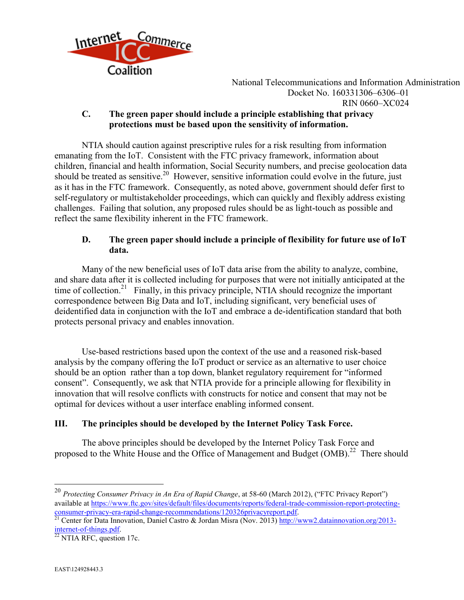

#### **C. The green paper should include a principle establishing that privacy protections must be based upon the sensitivity of information.**

NTIA should caution against prescriptive rules for a risk resulting from information emanating from the IoT. Consistent with the FTC privacy framework, information about children, financial and health information, Social Security numbers, and precise geolocation data should be treated as sensitive.<sup>20</sup> However, sensitive information could evolve in the future, just as it has in the FTC framework. Consequently, as noted above, government should defer first to self-regulatory or multistakeholder proceedings, which can quickly and flexibly address existing challenges. Failing that solution, any proposed rules should be as light-touch as possible and reflect the same flexibility inherent in the FTC framework.

# **D. The green paper should include a principle of flexibility for future use of IoT data.**

Many of the new beneficial uses of IoT data arise from the ability to analyze, combine, and share data after it is collected including for purposes that were not initially anticipated at the time of collection.<sup>21</sup> Finally, in this privacy principle, NTIA should recognize the important correspondence between Big Data and IoT, including significant, very beneficial uses of deidentified data in conjunction with the IoT and embrace a de-identification standard that both protects personal privacy and enables innovation.

Use-based restrictions based upon the context of the use and a reasoned risk-based analysis by the company offering the IoT product or service as an alternative to user choice should be an option rather than a top down, blanket regulatory requirement for "informed consent". Consequently, we ask that NTIA provide for a principle allowing for flexibility in innovation that will resolve conflicts with constructs for notice and consent that may not be optimal for devices without a user interface enabling informed consent.

### **III. The principles should be developed by the Internet Policy Task Force.**

The above principles should be developed by the Internet Policy Task Force and proposed to the White House and the Office of Management and Budget (OMB).<sup>22</sup> There should

<sup>20</sup> *Protecting Consumer Privacy in An Era of Rapid Change*, at 58-60 (March 2012), ("FTC Privacy Report") available at [https://www.ftc.gov/sites/default/files/documents/reports/federal-trade-commission-report-protecting](https://www.ftc.gov/sites/default/files/documents/reports/federal-trade-commission-report-protecting-consumer-privacy-era-rapid-change-recommendations/120326privacyreport.pdf)[consumer-privacy-era-rapid-change-recommendations/120326privacyreport.pdf.](https://www.ftc.gov/sites/default/files/documents/reports/federal-trade-commission-report-protecting-consumer-privacy-era-rapid-change-recommendations/120326privacyreport.pdf)

<sup>&</sup>lt;sup>21</sup> Center for Data Innovation, Daniel Castro & Jordan Misra (Nov. 2013[\) http://www2.datainnovation.org/2013](http://www2.datainnovation.org/2013-internet-of-things.pdf) [internet-of-things.pdf.](http://www2.datainnovation.org/2013-internet-of-things.pdf)

 $22$  NTIA RFC, question 17c.